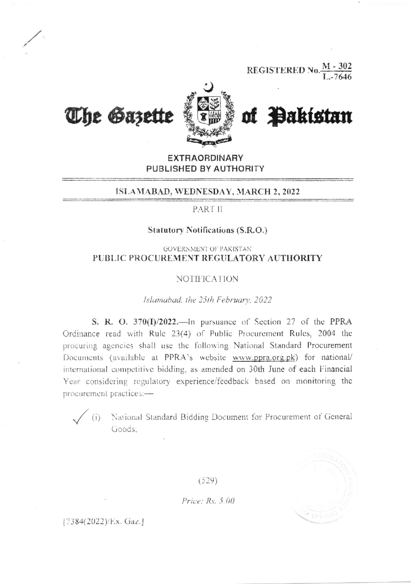**REGISTERED No.**  $\frac{M-302}{I-7646}$ 



**The Gazette** 

of Pakistan

**EXTRAORDINARY** PUBLISHED BY AUTHORITY

### ISLAMABAD, WEDNESDAY, MARCH 2, 2022

PART II

### **Statutory Notifications (S.R.O.)**

### **GOVERNMENT OF PAKISTAN** PUBLIC PROCUREMENT REGULATORY AUTHORITY

#### **NOTIFICATION**

#### Islamabad, the 25th February, 2022

S. R. O. 370(I)/2022.—In pursuance of Section 27 of the PPRA Ordinance read with Rule 23(4) of Public Procurement Rules, 2004 the procuring agencies shall use the following National Standard Procurement Documents (available at PPRA's website www.ppra.org.pk) for national/ international competitive bidding, as amended on 30th June of each Financial Year considering regulatory experience/feedback based on monitoring the procurement practices:-

(i) National Standard Bidding Document for Procurement of General Goods:

 $121$ 

 $(529)$ 

Price:  $Rs. 5.00$ 

[7384(2022)/Ex. Gaz.]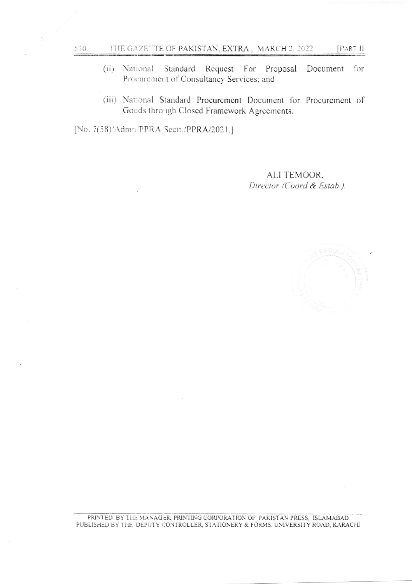- (ii) National Standard Request For Proposal Document for Procurement of Consultancy Services; and
- (iii) National Standard Procurement Document for Procurement of Goods through Closed Framework Agreements.

[No. 7(58)/Admn/PPRA Sectt./PPRA/2021.]

 $\frac{530}{2}$ 

ALI TEMOOR. Director (Coord & Estab.).



PRINTED BY THE MANAGER, PRINTING CORPORATION OF PAKISTAN PRESS, ISLAMABAD PUBLISHED BY THE DEPUTY CONTROLLER, STATIONERY & FORMS. UNIVERSITY ROAD, KARACHI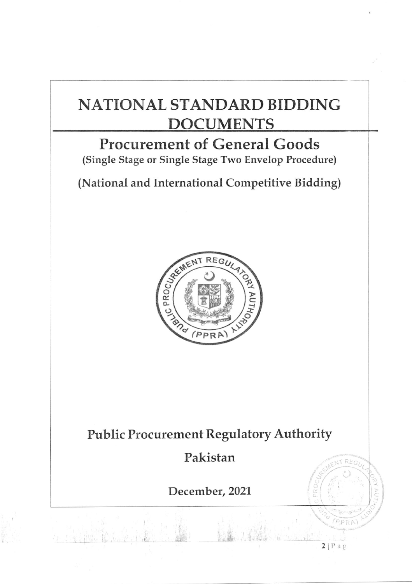# NATTONAL STANDARD BIDDING DOCUMENTS

# Procurement of General Goods

(Single Stage or Single Stage Two Envelop Procedure)

(National and International Competitive Bidding)



## Public Procurement Regulatory Authority

## Pakistan

December, 2021

ă.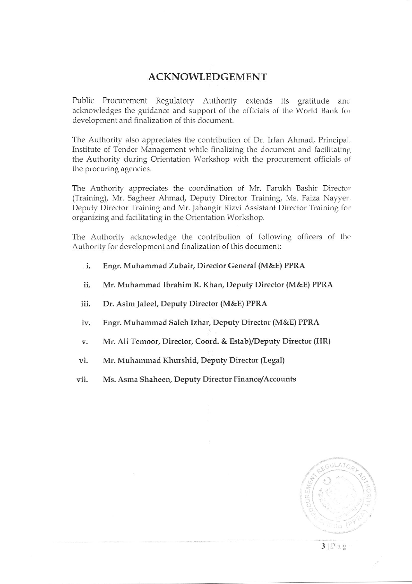### ACKNOWLEDGEMENT

Public Procurement Regulatory Authority extends its gratitude and acknowledges the guidance and support of the officials of the World Bank for development and finalization of this document.

The Authority aiso appreciates the contribution of Dr. Irfan Ahmad, Principal. Institute of Tender Management while finalizing the document and facilitating the Authority during Orientation Workshop with the procurement officials of the procuring agencies.

The Authority appreciates the coordination of Mr. Farukh Bashir Director (Training), Mr. Sagheer Ahmad, Deputy Director Training, Ms. Faiza Nayyer. Deputy Director Training and Mr. Jahangir Rizvi Assistant Director Training for organizing and facilitating in the Orientation Workshop.

The Authority acknowledge the contribution of following officers of the Authority for development and finalization of this document:

- Engr. Muhammad Zubair, Director General (M&E) PPRA 1.
- Mr. Muhammad Ibrahim R. Khan, Deputy Director (M&E) PPRA ii.
- Dr. Asim Ialeel, Deputy Director (M&E) PPRA iii.
- Engr. Muhammad Saleh Izhar, Deputy Director (M&E) PPRA iv.
- Mr. Ali Temoor, Director, Coord. & Estab/Deputy Director (HR) v.
- Mr. Muhammad Khurshid, Deputy Director (Legal) vl.
- Ms. Asma Shaheen, Deputy Director Finance/Accounts vii.



 $3$ |Pag